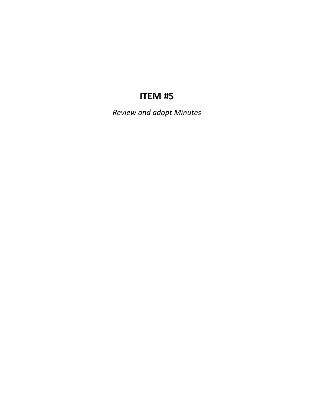# **ITEM #5**

*Review and adopt Minutes*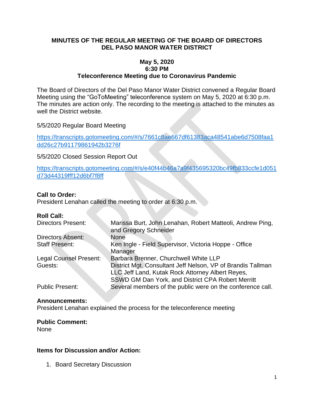#### **MINUTES OF THE REGULAR MEETING OF THE BOARD OF DIRECTORS DEL PASO MANOR WATER DISTRICT**

#### **May 5, 2020 6:30 PM Teleconference Meeting due to Coronavirus Pandemic**

The Board of Directors of the Del Paso Manor Water District convened a Regular Board Meeting using the "GoToMeeting" teleconference system on May 5, 2020 at 6:30 p.m. The minutes are action only. The recording to the meeting is attached to the minutes as well the District website.

5/5/2020 Regular Board Meeting

[https://transcripts.gotomeeting.com/#/s/7661c8ae667df61383aca48541abe6d7508faa1](https://transcripts.gotomeeting.com/#/s/7661c8ae667df61383aca48541abe6d7508faa1dd26c27b91179861942b3276f) [dd26c27b91179861942b3276f](https://transcripts.gotomeeting.com/#/s/7661c8ae667df61383aca48541abe6d7508faa1dd26c27b91179861942b3276f)

5/5/2020 Closed Session Report Out

[https://transcripts.gotomeeting.com/#/s/e40f44b46a7a9f435695320bc49fb833ccfe1d051](https://transcripts.gotomeeting.com/#/s/e40f44b46a7a9f435695320bc49fb833ccfe1d051d73d44319fff12d6bf7f8ff) [d73d44319fff12d6bf7f8ff](https://transcripts.gotomeeting.com/#/s/e40f44b46a7a9f435695320bc49fb833ccfe1d051d73d44319fff12d6bf7f8ff)

#### **Call to Order:**

President Lenahan called the meeting to order at 6:30 p.m.

#### **Roll Call:**

| <b>Directors Present:</b>     | Marissa Burt, John Lenahan, Robert Matteoli, Andrew Ping,<br>and Gregory Schneider |
|-------------------------------|------------------------------------------------------------------------------------|
| <b>Directors Absent:</b>      | None                                                                               |
| <b>Staff Present:</b>         | Ken Ingle - Field Supervisor, Victoria Hoppe - Office                              |
|                               | Manager                                                                            |
| <b>Legal Counsel Present:</b> | Barbara Brenner, Churchwell White LLP                                              |
| Guests:                       | District Mgt. Consultant Jeff Nelson, VP of Brandis Tallman                        |
|                               | LLC Jeff Land, Kutak Rock Attorney Albert Reyes,                                   |
|                               | SSWD GM Dan York, and District CPA Robert Merritt                                  |
| <b>Public Present:</b>        | Several members of the public were on the conference call.                         |

#### **Announcements:**

President Lenahan explained the process for the teleconference meeting

#### **Public Comment:**

None

#### **Items for Discussion and/or Action:**

1. Board Secretary Discussion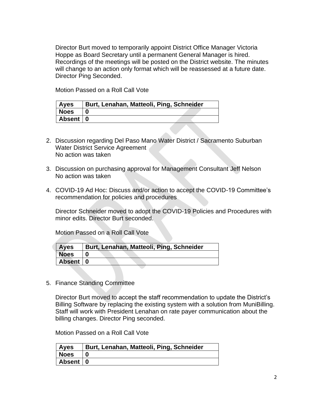Director Burt moved to temporarily appoint District Office Manager Victoria Hoppe as Board Secretary until a permanent General Manager is hired. Recordings of the meetings will be posted on the District website. The minutes will change to an action only format which will be reassessed at a future date. Director Ping Seconded.

Motion Passed on a Roll Call Vote

| <b>Ayes</b> | Burt, Lenahan, Matteoli, Ping, Schneider |
|-------------|------------------------------------------|
| <b>Noes</b> |                                          |
| Absent   0  |                                          |

- 2. Discussion regarding Del Paso Mano Water District / Sacramento Suburban Water District Service Agreement No action was taken
- 3. Discussion on purchasing approval for Management Consultant Jeff Nelson No action was taken
- 4. COVID-19 Ad Hoc: Discuss and/or action to accept the COVID-19 Committee's recommendation for policies and procedures

Director Schneider moved to adopt the COVID-19 Policies and Procedures with minor edits. Director Burt seconded.

Motion Passed on a Roll Call Vote

| <b>Ayes</b> | Burt, Lenahan, Matteoli, Ping, Schneider |
|-------------|------------------------------------------|
| <b>Noes</b> |                                          |
| Absent   0  |                                          |

5. Finance Standing Committee

Director Burt moved to accept the staff recommendation to update the District's Billing Software by replacing the existing system with a solution from MuniBilling. Staff will work with President Lenahan on rate payer communication about the billing changes. Director Ping seconded.

Motion Passed on a Roll Call Vote

| <b>Ayes</b> | Burt, Lenahan, Matteoli, Ping, Schneider |
|-------------|------------------------------------------|
| <b>Noes</b> |                                          |
| Absent 0    |                                          |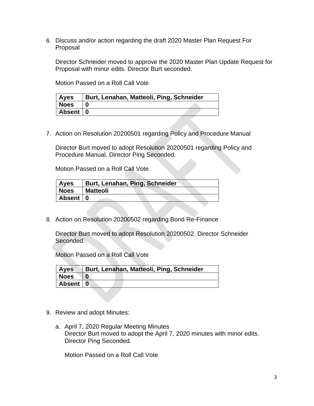6. Discuss and/or action regarding the draft 2020 Master Plan Request For Proposal

Director Schneider moved to approve the 2020 Master Plan Update Request for Proposal with minor edits. Director Burt seconded.

Motion Passed on a Roll Call Vote

| <b>Ayes</b> | <b>Burt, Lenahan, Matteoli, Ping, Schneider</b> |  |
|-------------|-------------------------------------------------|--|
| Noes        |                                                 |  |
| Absent 0    |                                                 |  |

7. Action on Resolution 20200501 regarding Policy and Procedure Manual

Director Burt moved to adopt Resolution 20200501 regarding Policy and Procedure Manual. Director Ping Seconded.

Motion Passed on a Roll Call Vote

| <b>Ayes</b> | Burt, Lenahan, Ping, Schneider |  |
|-------------|--------------------------------|--|
| <b>Noes</b> | <b>Matteoli</b>                |  |
| Absent   0  |                                |  |
|             |                                |  |

8. Action on Resolution 20200502 regarding Bond Re-Finance

Director Burt moved to adopt Resolution 20200502. Director Schneider Seconded.

Motion Passed on a Roll Call Vote

| <b>Ayes</b> | Burt, Lenahan, Matteoli, Ping, Schneider |
|-------------|------------------------------------------|
| Noes        |                                          |
| Absent 0    |                                          |

- 9. Review and adopt Minutes:
	- a. April 7, 2020 Regular Meeting Minutes Director Burt moved to adopt the April 7, 2020 minutes with minor edits. Director Ping Seconded.

Motion Passed on a Roll Call Vote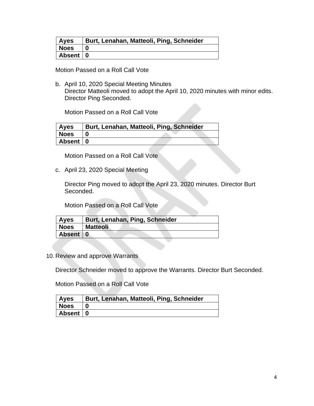| <b>Ayes</b> | Burt, Lenahan, Matteoli, Ping, Schneider |
|-------------|------------------------------------------|
| <b>Noes</b> |                                          |
| Absent   0  |                                          |

Motion Passed on a Roll Call Vote

b. April 10, 2020 Special Meeting Minutes Director Matteoli moved to adopt the April 10, 2020 minutes with minor edits. Director Ping Seconded.

Motion Passed on a Roll Call Vote

| Ayes        | Burt, Lenahan, Matteoli, Ping, Schneider |  |  |
|-------------|------------------------------------------|--|--|
| <b>Noes</b> |                                          |  |  |
| Absent   0  |                                          |  |  |

Motion Passed on a Roll Call Vote

c. April 23, 2020 Special Meeting

Director Ping moved to adopt the April 23, 2020 minutes. Director Burt Seconded.

Motion Passed on a Roll Call Vote

| <b>Ayes</b> | Burt, Lenahan, Ping, Schneider |
|-------------|--------------------------------|
| <b>Noes</b> | <b>Matteoli</b>                |
| Absent   0  |                                |

10. Review and approve Warrants

Director Schneider moved to approve the Warrants. Director Burt Seconded.

Motion Passed on a Roll Call Vote

| <b>Ayes</b> | Burt, Lenahan, Matteoli, Ping, Schneider |
|-------------|------------------------------------------|
| Noes        |                                          |
| Absent 0    |                                          |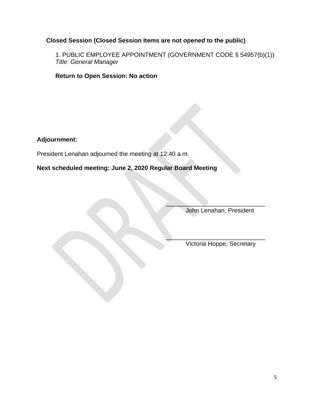# **Closed Session (Closed Session Items are not opened to the public)**

1. PUBLIC EMPLOYEE APPOINTMENT (GOVERNMENT CODE § 54957(b)(1)) *Title: General Manager*

**Return to Open Session: No action** 

**Adjournment:**

President Lenahan adjourned the meeting at 12:40 a.m.

**Next scheduled meeting: June 2, 2020 Regular Board Meeting**

John Lenahan, President

 $\overline{\phantom{a}}$  , where  $\overline{\phantom{a}}$  , where  $\overline{\phantom{a}}$  , where  $\overline{\phantom{a}}$ 

 $\overline{\phantom{a}}$  , and the set of the set of the set of the set of the set of the set of the set of the set of the set of the set of the set of the set of the set of the set of the set of the set of the set of the set of the s

Victoria Hoppe, Secretary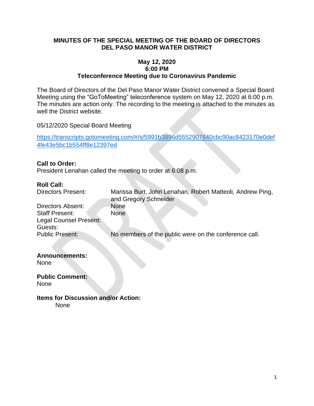#### **MINUTES OF THE SPECIAL MEETING OF THE BOARD OF DIRECTORS DEL PASO MANOR WATER DISTRICT**

#### **May 12, 2020 6:00 PM Teleconference Meeting due to Coronavirus Pandemic**

The Board of Directors of the Del Paso Manor Water District convened a Special Board Meeting using the "GoToMeeting" teleconference system on May 12, 2020 at 6:00 p.m. The minutes are action only. The recording to the meeting is attached to the minutes as well the District website.

05/12/2020 Special Board Meeting

[https://transcripts.gotomeeting.com/#/s/5991b3896d5552907640cbc90ac8423170e0def](https://transcripts.gotomeeting.com/#/s/5991b3896d5552907640cbc90ac8423170e0def4fe43e5bc1b554ff8e12397ed) [4fe43e5bc1b554ff8e12397ed](https://transcripts.gotomeeting.com/#/s/5991b3896d5552907640cbc90ac8423170e0def4fe43e5bc1b554ff8e12397ed)

#### **Call to Order:**

President Lenahan called the meeting to order at 6:08 p.m.

#### **Roll Call:**

| <b>Directors Present:</b>                       | Marissa Burt, John Lenahan, Robert Matteoli, Andrew Ping,<br>and Gregory Schneider |
|-------------------------------------------------|------------------------------------------------------------------------------------|
| Directors Absent:                               | None                                                                               |
| <b>Staff Present:</b><br>Legal Counsel Present: | <b>None</b>                                                                        |
| Guests:                                         |                                                                                    |
| <b>Public Present:</b>                          | No members of the public were on the conference call.                              |

# **Announcements:**

None

**Public Comment:** None

**Items for Discussion and/or Action:** None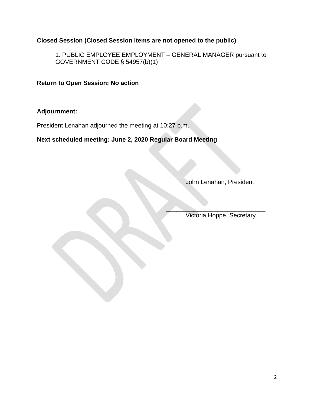# **Closed Session (Closed Session Items are not opened to the public)**

1. PUBLIC EMPLOYEE EMPLOYMENT – GENERAL MANAGER pursuant to GOVERNMENT CODE § 54957(b)(1)

**Return to Open Session: No action**

## **Adjournment:**

President Lenahan adjourned the meeting at 10:27 p.m.

# **Next scheduled meeting: June 2, 2020 Regular Board Meeting**

John Lenahan, President

 $\mathcal{L}$  , we can also assume that the set of  $\mathcal{L}$ 

 $\mathcal{L}=\mathcal{L}=\mathcal{L}=\mathcal{L}=\mathcal{L}=\mathcal{L}=\mathcal{L}=\mathcal{L}=\mathcal{L}=\mathcal{L}=\mathcal{L}=\mathcal{L}=\mathcal{L}=\mathcal{L}=\mathcal{L}=\mathcal{L}=\mathcal{L}=\mathcal{L}=\mathcal{L}=\mathcal{L}=\mathcal{L}=\mathcal{L}=\mathcal{L}=\mathcal{L}=\mathcal{L}=\mathcal{L}=\mathcal{L}=\mathcal{L}=\mathcal{L}=\mathcal{L}=\mathcal{L}=\mathcal{L}=\mathcal{L}=\mathcal{L}=\mathcal{L}=\mathcal{L}=\mathcal{$ Victoria Hoppe, Secretary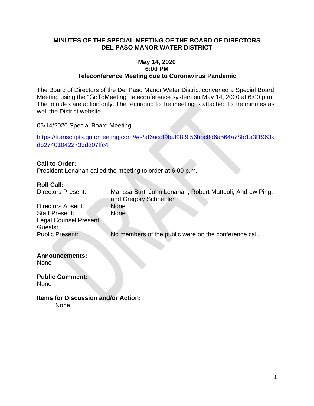#### **MINUTES OF THE SPECIAL MEETING OF THE BOARD OF DIRECTORS DEL PASO MANOR WATER DISTRICT**

#### **May 14, 2020 6:00 PM Teleconference Meeting due to Coronavirus Pandemic**

The Board of Directors of the Del Paso Manor Water District convened a Special Board Meeting using the "GoToMeeting" teleconference system on May 14, 2020 at 6:00 p.m. The minutes are action only. The recording to the meeting is attached to the minutes as well the District website.

05/14/2020 Special Board Meeting

[https://transcripts.gotomeeting.com/#/s/af6acdf9baf98f9f56bbc8d6a564a78fc1a3f1963a](https://transcripts.gotomeeting.com/#/s/af6acdf9baf98f9f56bbc8d6a564a78fc1a3f1963adb274010422733dd07ffc4) [db274010422733dd07ffc4](https://transcripts.gotomeeting.com/#/s/af6acdf9baf98f9f56bbc8d6a564a78fc1a3f1963adb274010422733dd07ffc4)

#### **Call to Order:**

President Lenahan called the meeting to order at 6:00 p.m.

#### **Roll Call:**

| <b>Directors Present:</b> | Marissa Burt, John Lenahan, Robert Matteoli, Andrew Ping,<br>and Gregory Schneider |
|---------------------------|------------------------------------------------------------------------------------|
| Directors Absent:         | None                                                                               |
| <b>Staff Present:</b>     | <b>None</b>                                                                        |
| Legal Counsel Present:    |                                                                                    |
| Guests:                   |                                                                                    |
| <b>Public Present:</b>    | No members of the public were on the conference call.                              |
|                           |                                                                                    |

# **Announcements:**

None

**Public Comment:** None

**Items for Discussion and/or Action:** None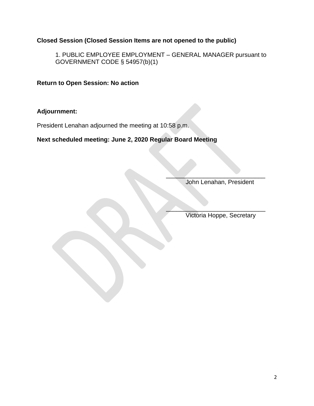# **Closed Session (Closed Session Items are not opened to the public)**

1. PUBLIC EMPLOYEE EMPLOYMENT – GENERAL MANAGER pursuant to GOVERNMENT CODE § 54957(b)(1)

**Return to Open Session: No action**

# **Adjournment:**

President Lenahan adjourned the meeting at 10:58 p.m.

# **Next scheduled meeting: June 2, 2020 Regular Board Meeting**

John Lenahan, President

 $\mathcal{L}$  , we can also assume that the set of  $\mathcal{L}$ 

 $\mathcal{L}=\mathcal{L}=\mathcal{L}=\mathcal{L}=\mathcal{L}=\mathcal{L}=\mathcal{L}=\mathcal{L}=\mathcal{L}=\mathcal{L}=\mathcal{L}=\mathcal{L}=\mathcal{L}=\mathcal{L}=\mathcal{L}=\mathcal{L}=\mathcal{L}=\mathcal{L}=\mathcal{L}=\mathcal{L}=\mathcal{L}=\mathcal{L}=\mathcal{L}=\mathcal{L}=\mathcal{L}=\mathcal{L}=\mathcal{L}=\mathcal{L}=\mathcal{L}=\mathcal{L}=\mathcal{L}=\mathcal{L}=\mathcal{L}=\mathcal{L}=\mathcal{L}=\mathcal{L}=\mathcal{$ Victoria Hoppe, Secretary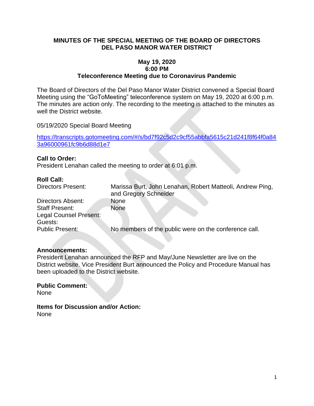#### **MINUTES OF THE SPECIAL MEETING OF THE BOARD OF DIRECTORS DEL PASO MANOR WATER DISTRICT**

#### **May 19, 2020 6:00 PM Teleconference Meeting due to Coronavirus Pandemic**

The Board of Directors of the Del Paso Manor Water District convened a Special Board Meeting using the "GoToMeeting" teleconference system on May 19, 2020 at 6:00 p.m. The minutes are action only. The recording to the meeting is attached to the minutes as well the District website.

05/19/2020 Special Board Meeting

[https://transcripts.gotomeeting.com/#/s/bd7f92c5d2c9cf55abbfa5615c21d241f8f64f0a84](https://transcripts.gotomeeting.com/#/s/bd7f92c5d2c9cf55abbfa5615c21d241f8f64f0a843a96000961fc9b6d88d1e7) [3a96000961fc9b6d88d1e7](https://transcripts.gotomeeting.com/#/s/bd7f92c5d2c9cf55abbfa5615c21d241f8f64f0a843a96000961fc9b6d88d1e7)

#### **Call to Order:**

President Lenahan called the meeting to order at 6:01 p.m.

#### **Roll Call:**

| <b>Directors Present:</b> | Marissa Burt, John Lenahan, Robert Matteoli, Andrew Ping,<br>and Gregory Schneider |
|---------------------------|------------------------------------------------------------------------------------|
| Directors Absent:         | <b>None</b>                                                                        |
| <b>Staff Present:</b>     | None                                                                               |
| Legal Counsel Present:    |                                                                                    |
| Guests:                   |                                                                                    |
| Public Present:           | No members of the public were on the conference call.                              |

#### **Announcements:**

President Lenahan announced the RFP and May/June Newsletter are live on the District website. Vice President Burt announced the Policy and Procedure Manual has been uploaded to the District website.

**Public Comment:** None

**Items for Discussion and/or Action:** None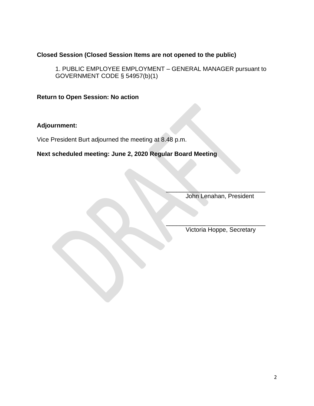## **Closed Session (Closed Session Items are not opened to the public)**

1. PUBLIC EMPLOYEE EMPLOYMENT – GENERAL MANAGER pursuant to GOVERNMENT CODE § 54957(b)(1)

#### **Return to Open Session: No action**

# **Adjournment:**

Vice President Burt adjourned the meeting at 8.48 p.m.

### **Next scheduled meeting: June 2, 2020 Regular Board Meeting**

John Lenahan, President

 $\overline{\phantom{a}}$  ,  $\overline{\phantom{a}}$  ,  $\overline{\phantom{a}}$  ,  $\overline{\phantom{a}}$  ,  $\overline{\phantom{a}}$  ,  $\overline{\phantom{a}}$  ,  $\overline{\phantom{a}}$  ,  $\overline{\phantom{a}}$  ,  $\overline{\phantom{a}}$  ,  $\overline{\phantom{a}}$  ,  $\overline{\phantom{a}}$  ,  $\overline{\phantom{a}}$  ,  $\overline{\phantom{a}}$  ,  $\overline{\phantom{a}}$  ,  $\overline{\phantom{a}}$  ,  $\overline{\phantom{a}}$ 

\_\_\_\_\_\_\_\_\_\_\_\_\_\_\_\_\_\_\_\_\_\_\_\_\_\_\_\_\_

Victoria Hoppe, Secretary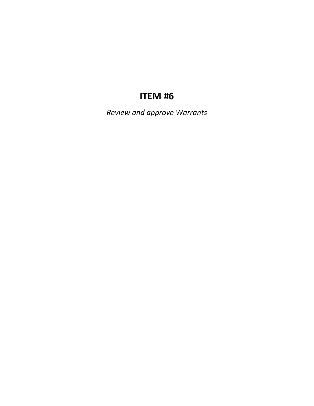# **ITEM #6**

*Review and approve Warrants*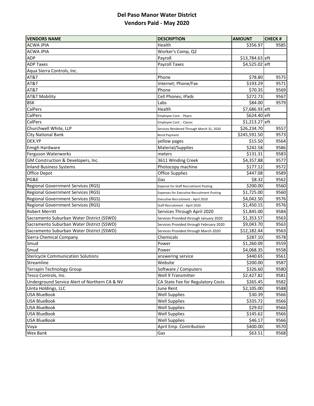# **Del Paso Manor Water District Vendors Paid ‐ May 2020**

| <b>VENDORS NAME</b>                           | <b>DESCRIPTION</b>                                | <b>AMOUNT</b>   | <b>CHECK#</b> |
|-----------------------------------------------|---------------------------------------------------|-----------------|---------------|
| <b>ACWA JPIA</b>                              | Health                                            | \$356.97        | 9585          |
| <b>ACWA JPIA</b>                              | Worker's Comp, Q2                                 |                 |               |
| ADP                                           | Payroll                                           | \$13,784.63 eft |               |
| <b>ADP Taxes</b>                              | <b>Payroll Taxes</b>                              | \$4,525.02 eft  |               |
| Aqua Sierra Controls, Inc.                    |                                                   |                 |               |
| AT&T                                          | Phone                                             | \$78.80         | 9575          |
| AT&T                                          | Internet; Phone/Fax                               | \$193.29        | 9571          |
| AT&T                                          | Phone                                             | \$70.35         | 9569          |
| AT&T Mobility                                 | Cell Phones; iPads                                | \$272.73        | 9567          |
| <b>BSK</b>                                    | Labs                                              | \$84.00         | 9579          |
| CalPers                                       | Health                                            | \$7,686.93 eft  |               |
| CalPers                                       | Employee Cont. - Pepra                            | \$624.40 eft    |               |
| CalPers                                       | Employee Cont. - Classic                          | \$1,213.27 eft  |               |
| Churchwell White, LLP                         | Services Rendered Through March 31, 2020          | \$26,234.70     | 9557          |
| <b>City National Bank</b>                     | <b>Bond Payment</b>                               | \$245,591.50    | 9573          |
| DEX.YP                                        | yellow pages                                      | \$15.50         | 9564          |
| Emigh Hardware                                | Material/Supplies                                 | \$242.58        | 9586          |
| Ferguson Waterworks                           | meters                                            | \$131.31        | 9583          |
| GM Construction & Developers, Inc.            | 3611 Winding Creek                                | \$4,357.88      | 9577          |
| <b>Inland Business Systems</b>                | Photocopy machine                                 | \$177.12        | 9572          |
| Office Depot                                  | <b>Office Supplies</b>                            | \$447.08        | 9589          |
| PG&E                                          | Gas                                               | \$8.32          | 9562          |
| Regional Government Services (RGS)            | <b>Expense for Staff Recruitment Posting</b>      | \$200.00        | 9560          |
| <b>Regional Government Services (RGS)</b>     | <b>Expenses for Executive Recruitment Posting</b> | \$1,725.00      | 9560          |
| <b>Regional Government Services (RGS)</b>     | Executive Recruitment - April 2020                | \$4,042.50      | 9576          |
| <b>Regional Government Services (RGS)</b>     | Staff Recruitment - April 2020                    | \$1,450.15      | 9576          |
| <b>Robert Merritt</b>                         | Services Through April 2020                       | \$1,845.00      | 9584          |
| Sacramento Suburban Water District (SSWD)     | Services Provided through January 2020            | \$1,353.57      | 9563          |
| Sacramento Suburban Water District (SSWD)     | Services Provided through February 2020           | \$9,043.70      | 9563          |
| Sacramento Suburban Water District (SSWD)     | Services Provided through March 2020              | \$12,182.44     | 9563          |
| Sierra Chemical Company                       | Chemicals                                         | \$287.10        | 9578          |
| Smud                                          | Power                                             | \$1,260.09      | 9559          |
| Smud                                          | Power                                             | \$4,068.35      | 9558          |
| <b>Stericycle Communication Solutions</b>     | answering service                                 | \$440.65        | 9561          |
| Streamline                                    | Website                                           | \$200.00        | 9587          |
| <b>Terrapin Technology Group</b>              | Software / Computers                              | \$326.60        | 9580          |
| Tesco Controls, Inc.                          | Well 9 Transmitter                                | \$2,427.82      | 9581          |
| Underground Service Alert of Northern CA & NV | CA State Fee for Regulatory Costs                 | \$265.45        | 9582          |
| Uinta Holdings, LLC                           | June Rent                                         | \$2,105.00      | 9588          |
| <b>USA BlueBook</b>                           | <b>Well Supplies</b>                              | \$30.39         | 9566          |
| <b>USA BlueBook</b>                           | <b>Well Supplies</b>                              | \$335.72        | 9566          |
| <b>USA BlueBook</b>                           | <b>Well Supplies</b>                              | \$29.02         | 9566          |
| <b>USA BlueBook</b>                           | <b>Well Supplies</b>                              | \$145.62        | 9566          |
| <b>USA BlueBook</b>                           | <b>Well Supplies</b>                              | \$46.17         | 9566          |
| Voya                                          | April Emp. Contribution                           | \$400.00        | 9570          |
| <b>Wex Bank</b>                               | Gas                                               | \$63.51         | 9568          |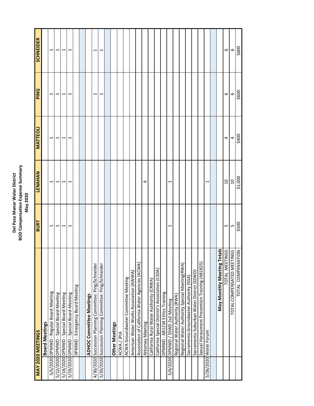# **Del Paso Manor Water District BOD Compensation Expense Summary Del Paso Manor Water District<br>BOD Compensation Expense Summary<br>May 2020**

| MAY 2020 MEETINGS                                       | <b>BURT</b> | LENAHAN                  | <b>MATTEOLI</b> | PING           | <b>SCHNEIDER</b>     |
|---------------------------------------------------------|-------------|--------------------------|-----------------|----------------|----------------------|
|                                                         |             |                          |                 |                |                      |
| <b>Board Meetings</b>                                   |             |                          |                 |                |                      |
| 5/5/2020 DPMWD - Regular Board Meeting                  | Ţ           | $\overline{\phantom{0}}$ | 1               | J              | $\blacktriangleleft$ |
| 5/12/2020 DPMWD - Special Board Meeting                 | ↤           | ↤                        |                 |                |                      |
| 5/14/2020 DPMWD - Special Board Meeting                 | H           | $\overline{\phantom{0}}$ |                 |                | $\blacktriangleleft$ |
| 5/19/2020 DPMWD - Special Board Meeting                 | ᠇           | ᠇                        | ᠆               |                | ٣                    |
| DPMWD - Emergency Board Meeting                         |             |                          |                 |                |                      |
|                                                         |             |                          |                 |                |                      |
| ADHOC Committee Meetings                                |             |                          |                 |                |                      |
| 4/30/2020 Succession Planning Committee: Ping/Schneider |             |                          |                 |                | Ţ                    |
| 5/20/2020 Succession Planning Committee: Ping/Schneider |             |                          |                 |                | H                    |
|                                                         |             |                          |                 |                |                      |
| <b>Other Meetings</b>                                   |             |                          |                 |                |                      |
| ACWA/JPIA                                               |             |                          |                 |                |                      |
| ACWA Groundwater Committee Meeting                      |             |                          |                 |                |                      |
| American Water Works Association (AWWA)                 |             |                          |                 |                |                      |
| Association of California Water Agencies (ACWA)         |             |                          |                 |                |                      |
| Attorney Meeting                                        |             | 4                        |                 |                |                      |
| California Rural Water Authority (CRWA)                 |             |                          |                 |                |                      |
| California Special District's Association (CSDA)        |             |                          |                 |                |                      |
| DPMWD - AB1234 Ethics Training                          |             |                          |                 |                |                      |
| 5/4/2020 DPMWD / SSWD 2x2 Meeting                       | ᠆           | $\overline{\phantom{0}}$ |                 |                |                      |
| Regional Water Authority (RWA)                          |             |                          |                 |                |                      |
| Regional Water Authority Special Meeting(RWA)           |             |                          |                 |                |                      |
| Sacramento Groundwater Authority (SGA)                  |             |                          |                 |                |                      |
| Sacramento Suburban Water District (SSWD)               |             |                          |                 |                |                      |
| Sexual Harassment Prevention Training (AB1825)          |             |                          |                 |                |                      |
| 5/26/2020 Water Forum                                   |             | ⊣                        |                 |                |                      |
|                                                         |             |                          |                 |                |                      |
| <b>May Monthly Meeting Totals</b>                       |             |                          |                 |                |                      |
| TOTAL MEETINGS                                          | LN.         | $\overline{a}$           | 4               | 6              | 6                    |
| NOI<br>TOTAL COMPENSATED MEETI                          | LŊ          | $\overline{a}$           | 4               |                | $\circ$              |
| TOTAL COMPENSAT                                         | \$500       | \$1,000                  | \$400           | $rac{6}{5600}$ | \$600                |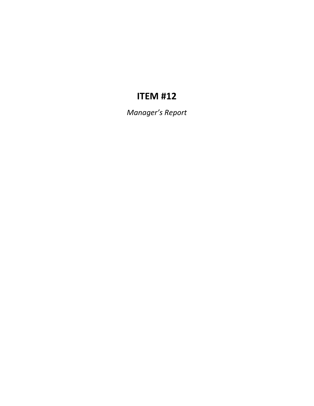# **ITEM #12**

*Manager's Report*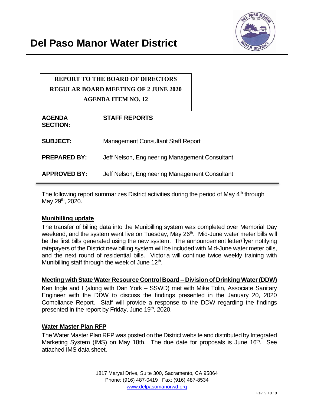

# **REPORT TO THE BOARD OF DIRECTORS REGULAR BOARD MEETING OF 2 JUNE 2020 AGENDA ITEM NO. 12**

| <b>AGENDA</b><br><b>SECTION:</b> | <b>STAFF REPORTS</b>                           |
|----------------------------------|------------------------------------------------|
| <b>SUBJECT:</b>                  | <b>Management Consultant Staff Report</b>      |
| <b>PREPARED BY:</b>              | Jeff Nelson, Engineering Management Consultant |
| <b>APPROVED BY:</b>              | Jeff Nelson, Engineering Management Consultant |

The following report summarizes District activities during the period of May 4<sup>th</sup> through May 29<sup>th</sup>, 2020.

#### **Munibilling update**

The transfer of billing data into the Munibilling system was completed over Memorial Day weekend, and the system went live on Tuesday, May 26<sup>th</sup>. Mid-June water meter bills will be the first bills generated using the new system. The announcement letter/flyer notifying ratepayers of the District new billing system will be included with Mid-June water meter bills, and the next round of residential bills. Victoria will continue twice weekly training with Munibilling staff through the week of June 12<sup>th</sup>.

#### **Meeting with State Water Resource Control Board – Division of Drinking Water (DDW)**

Ken Ingle and I (along with Dan York – SSWD) met with Mike Tolin, Associate Sanitary Engineer with the DDW to discuss the findings presented in the January 20, 2020 Compliance Report. Staff will provide a response to the DDW regarding the findings presented in the report by Friday, June 19<sup>th</sup>, 2020.

#### **Water Master Plan RFP**

The Water Master Plan RFP was posted on the District website and distributed by Integrated Marketing System (IMS) on May 18th. The due date for proposals is June 16<sup>th</sup>. See attached IMS data sheet.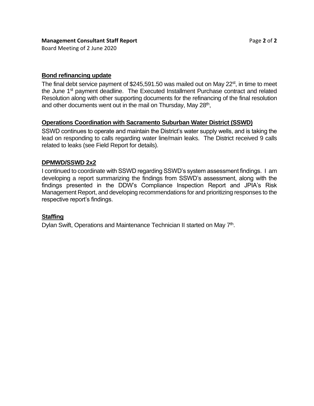Board Meeting of 2 June 2020

#### **Bond refinancing update**

The final debt service payment of \$245,591.50 was mailed out on May  $22^{st}$ , in time to meet the June 1<sup>st</sup> payment deadline. The Executed Installment Purchase contract and related Resolution along with other supporting documents for the refinancing of the final resolution and other documents went out in the mail on Thursday, May 28<sup>th</sup>,

#### **Operations Coordination with Sacramento Suburban Water District (SSWD)**

SSWD continues to operate and maintain the District's water supply wells, and is taking the lead on responding to calls regarding water line/main leaks. The District received 9 calls related to leaks (see Field Report for details).

#### **DPMWD/SSWD 2x2**

I continued to coordinate with SSWD regarding SSWD's system assessment findings. I am developing a report summarizing the findings from SSWD's assessment, along with the findings presented in the DDW's Compliance Inspection Report and JPIA's Risk Management Report, and developing recommendations for and prioritizing responses to the respective report's findings.

#### **Staffing**

Dylan Swift, Operations and Maintenance Technician II started on May 7<sup>th</sup>.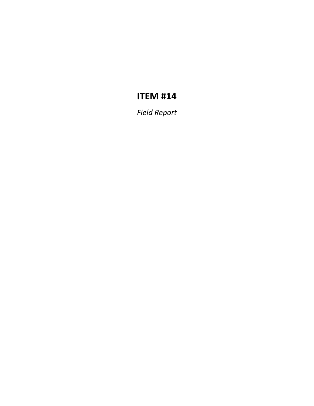# **ITEM #14**

*Field Report*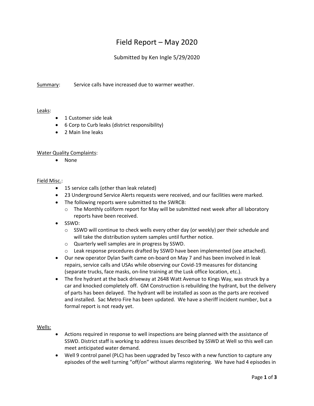# Field Report – May 2020

#### Submitted by Ken Ingle 5/29/2020

Summary: Service calls have increased due to warmer weather.

#### Leaks:

- 1 Customer side leak
- 6 Corp to Curb leaks (district responsibility)
- 2 Main line leaks

#### Water Quality Complaints:

• None

#### Field Misc.:

- 15 service calls (other than leak related)
- 23 Underground Service Alerts requests were received, and our facilities were marked.
- The following reports were submitted to the SWRCB:
	- $\circ$  The Monthly coliform report for May will be submitted next week after all laboratory reports have been received.
- SSWD:
	- $\circ$  SSWD will continue to check wells every other day (or weekly) per their schedule and will take the distribution system samples until further notice.
	- o Quarterly well samples are in progress by SSWD.
	- o Leak response procedures drafted by SSWD have been implemented (see attached).
- Our new operator Dylan Swift came on-board on May 7 and has been involved in leak repairs, service calls and USAs while observing our Covid-19 measures for distancing (separate trucks, face masks, on-line training at the Lusk office location, etc.).
- The fire hydrant at the back driveway at 2648 Watt Avenue to Kings Way, was struck by a car and knocked completely off. GM Construction is rebuilding the hydrant, but the delivery of parts has been delayed. The hydrant will be installed as soon as the parts are received and installed. Sac Metro Fire has been updated. We have a sheriff incident number, but a formal report is not ready yet.

#### Wells:

- Actions required in response to well inspections are being planned with the assistance of SSWD. District staff is working to address issues described by SSWD at Well so this well can meet anticipated water demand.
- Well 9 control panel (PLC) has been upgraded by Tesco with a new function to capture any episodes of the well turning "off/on" without alarms registering. We have had 4 episodes in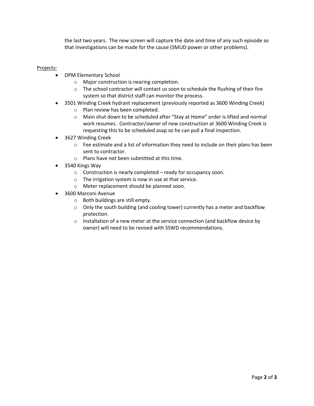the last two years. The new screen will capture the date and time of any such episode so that investigations can be made for the cause (SMUD power or other problems).

#### Projects:

- DPM Elementary School
	- o Major construction is nearing completion.
	- $\circ$  The school contractor will contact us soon to schedule the flushing of their fire system so that district staff can monitor the process.
- 3501 Winding Creek hydrant replacement (previously reported as 3600 Winding Creek)
	- o Plan review has been completed.
	- o Main shut down to be scheduled after "Stay at Home" order is lifted and normal work resumes. Contractor/owner of new construction at 3600 Winding Creek is requesting this to be scheduled asap so he can pull a final inspection.
- 3627 Winding Creek
	- $\circ$  Fee estimate and a list of information they need to include on their plans has been sent to contractor.
	- o Plans have not been submitted at this time.
- 3540 Kings Way
	- o Construction is nearly completed ready for occupancy soon.
	- o The irrigation system is now in use at that service.
	- o Meter replacement should be planned soon.
- 3600 Marconi Avenue
	- o Both buildings are still empty.
	- o Only the south building (and cooling tower) currently has a meter and backflow protection.
	- o Installation of a new meter at the service connection (and backflow device by owner) will need to be revised with SSWD recommendations.